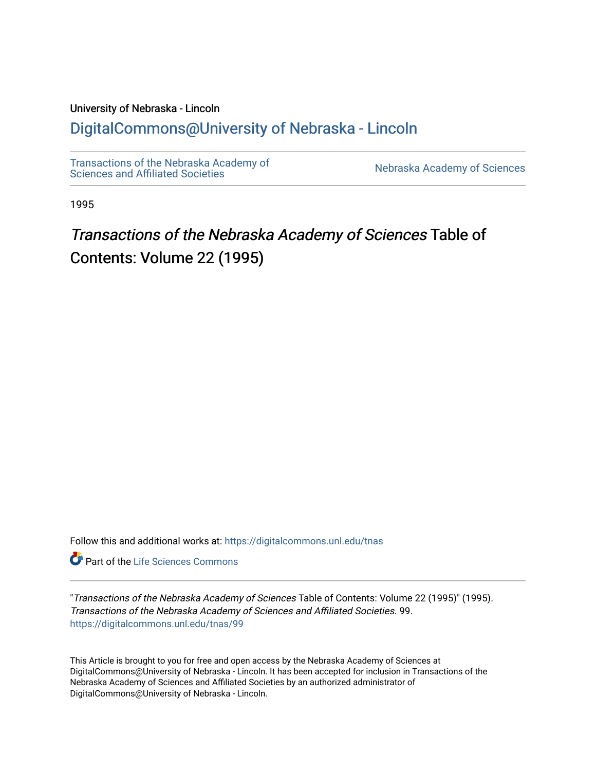### University of Nebraska - Lincoln

### [DigitalCommons@University of Nebraska - Lincoln](https://digitalcommons.unl.edu/)

[Transactions of the Nebraska Academy of](https://digitalcommons.unl.edu/tnas)  Transactions of the Nebraska Academy of Sciences<br>Sciences and Affiliated Societies

1995

### Transactions of the Nebraska Academy of Sciences Table of Contents: Volume 22 (1995)

Follow this and additional works at: [https://digitalcommons.unl.edu/tnas](https://digitalcommons.unl.edu/tnas?utm_source=digitalcommons.unl.edu%2Ftnas%2F99&utm_medium=PDF&utm_campaign=PDFCoverPages) 

**Part of the Life Sciences Commons** 

"Transactions of the Nebraska Academy of Sciences Table of Contents: Volume 22 (1995)" (1995). Transactions of the Nebraska Academy of Sciences and Affiliated Societies. 99. [https://digitalcommons.unl.edu/tnas/99](https://digitalcommons.unl.edu/tnas/99?utm_source=digitalcommons.unl.edu%2Ftnas%2F99&utm_medium=PDF&utm_campaign=PDFCoverPages)

This Article is brought to you for free and open access by the Nebraska Academy of Sciences at DigitalCommons@University of Nebraska - Lincoln. It has been accepted for inclusion in Transactions of the Nebraska Academy of Sciences and Affiliated Societies by an authorized administrator of DigitalCommons@University of Nebraska - Lincoln.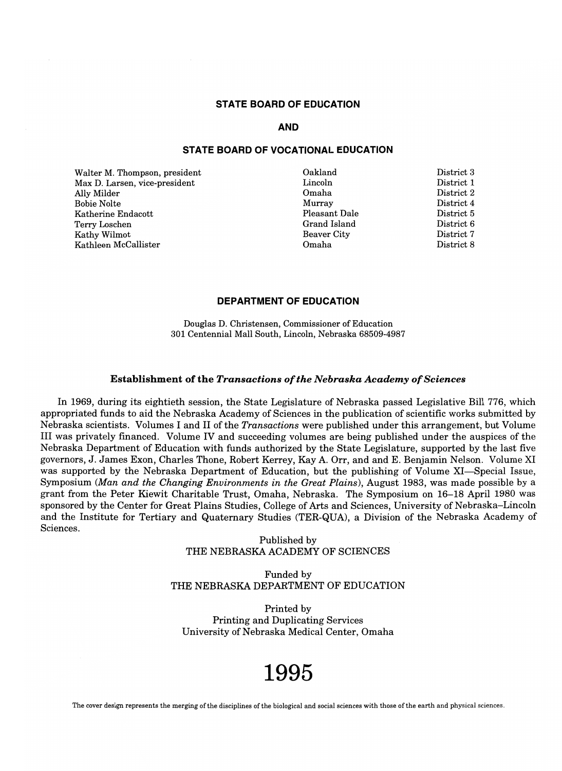#### **STATE BOARD OF EDUCATION**

#### **AND**

#### **STATE BOARD OF VOCATIONAL EDUCATION**

Walter M. Thompson, president Cakland Max D. Larsen, vice-president Lincoln Ally Milder **Bobie Nolte** Katherine Endacott Terry Loschen Kathy Wilmot Kathleen McCallister

Omaha Murray Pleasant Dale Grand Island Beaver City Omaha

District 3 District 1 District 2 District 4 District 5 District 6 District 7 District 8

#### **DEPARTMENT OF EDUCATION**

Douglas D. Christensen, Commissioner of Education 301 Centennial Mall South, Lincoln, Nebraska 68509-4987

#### Establishment of the *Transactions of the Nebraska Academy of Sciences*

In 1969, during its eightieth session, the State Legislature of Nebraska passed Legislative Bill 776, which appropriated funds to aid the Nebraska Academy of Sciences in the pUblication of scientific works submitted by Nebraska scientists. Volumes I and II of the *Transactions* were published under this arrangement, but Volume III was privately financed. Volume IV and succeeding volumes are being published under the auspices of the Nebraska Department of Education with funds authorized by the State Legislature, supported by the last five governors, J. James Exon, Charles Thone, Robert Kerrey, Kay A. Orr, and and E. Benjamin Nelson. Volume XI was supported by the Nebraska Department of Education, but the publishing of Volume XI-Special Issue, Symposium *(Man and the Changing Environments in the Great Plains)*, August 1983, was made possible by a grant from the Peter Kiewit Charitable Trust, Omaha, Nebraska. The Symposium on 16-18 April 1980 was sponsored by the Center for Great Plains Studies, College of Arts and Sciences, University of Nebraska-Lincoln and the Institute for Tertiary and Quaternary Studies (TER-QUA), a Division of the Nebraska Academy of Sciences.

> Published by THE NEBRASKA ACADEMY OF SCIENCES

Funded by THE NEBRASKA DEPARTMENT OF EDUCATION

Printed by Printing and Duplicating Services University of Nebraska Medical Center, Omaha

## **1995**

The cover design represents the merging of the disciplines of the biological and social sciences with those of the earth and physical sciences.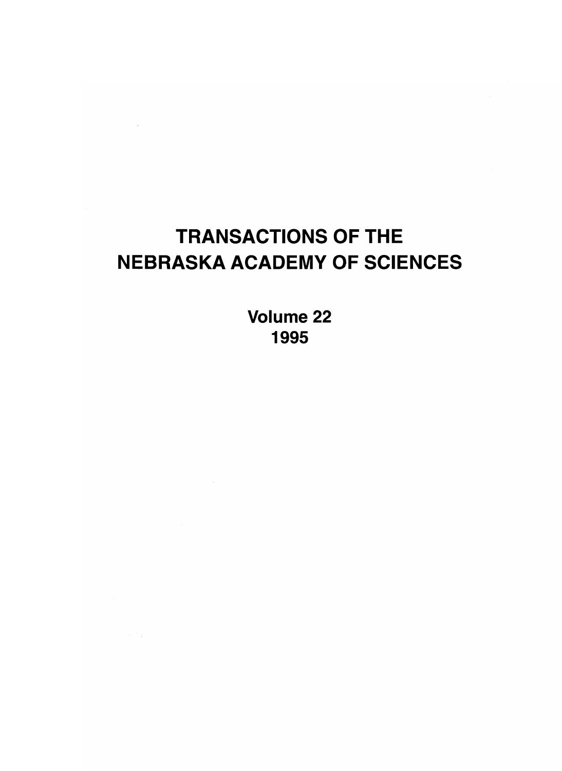# TRANSACTIONS OF THE NEBRASKA ACADEMY OF SCIENCES

Volume 22 1995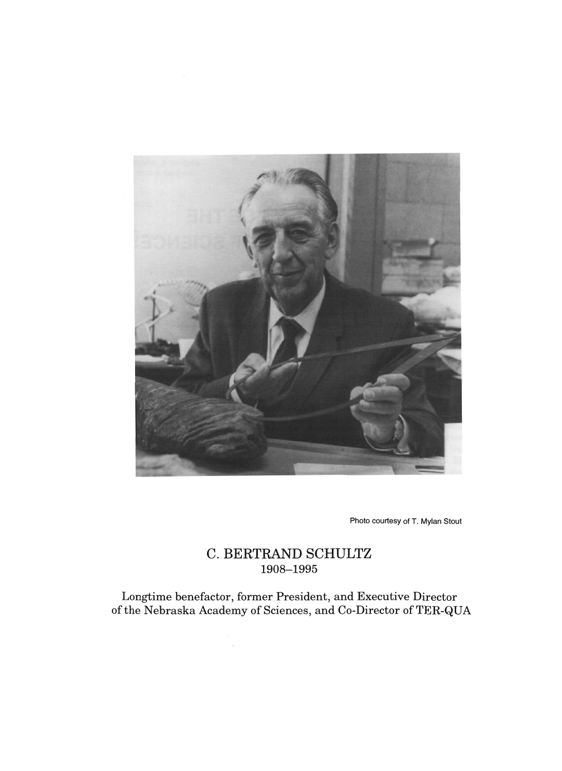

Photo courtesy of T. Mylan Stout

### C. **BERTRAND SCHULTZ**  1908-1995

Longtime benefactor, former President, and Executive Director of the Nebraska Academy of Sciences, and Co-Director of TER-QUA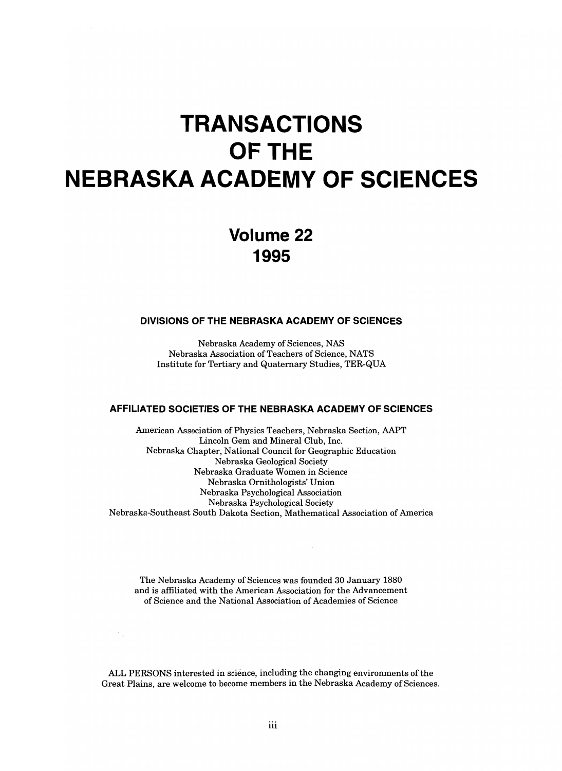# **TRANSACTIONS OFTHE NEBRASKA ACADEMY OF SCIENCES**

### **Volume 22 1995**

#### **DIVISIONS OF THE NEBRASKA ACADEMY OF SCIENCES**

Nebraska Academy of Sciences, NAS Nebraska Association of Teachers of Science, NATS Institute for Tertiary and Quaternary Studies, TER-QUA

#### **AFFILIATED SOCIETIES OF THE NEBRASKA ACADEMY OF SCIENCES**

American Association of Physics Teachers, Nebraska Section, AAPT Lincoln Gem and Mineral Club, Inc. Nebraska Chapter, National Council for Geographic Education Nebraska Geological Society Nebraska Graduate Women in Science Nebraska Ornithologists' Union Nebraska Psychological Association Nebraska Psychological Society Nebraska-Southeast South Dakota Section, Mathematical Association of America

The Nebraska Academy of Sciences was founded 30 January 1880 and is affiliated with the American Association for the Advancement of Science and the National Association of Academies of Science

ALL PERSONS interested in science, including the changing environments of the Great Plains, are welcome to become members in the Nebraska Academy of Sciences.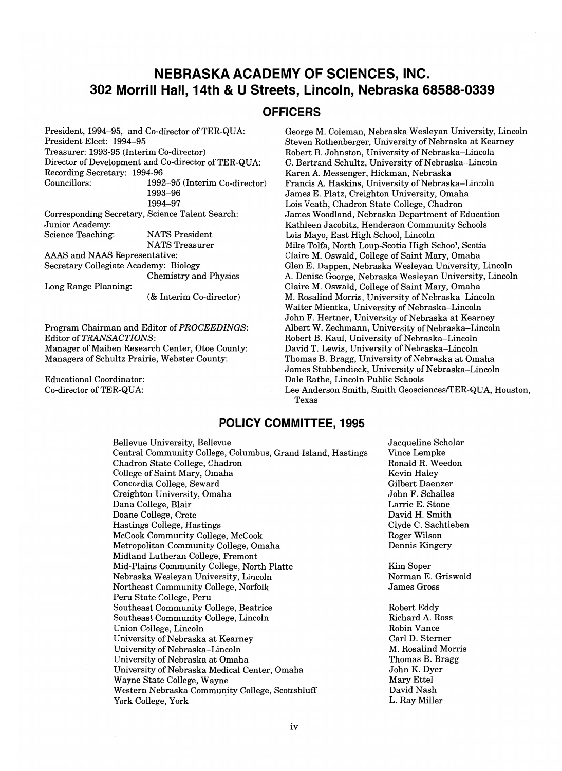#### **NEBRASKA ACADEMY OF SCIENCES, INC. 302 Morrill Hall, 14th & U Streets, Lincoln, Nebraska 68588-0339**

#### **OFFICERS**

President, 1994-95, and Co-director of TER-QUA: President Elect: 1994-95 Treasurer: 1993-95 (Interim Co-director) Director of Development and Co-director of TER-QUA: Recording Secretary: 1994-96 Councillors: 1992-95 (Interim Co-director) 1993-96 1994-97 Corresponding Secretary, Science Talent Search: Junior Academy:

Science Teaching: NATS President NATS Treasurer

AAAS and NAAS Representative: Secretary Collegiate Academy: Biology Chemistry and Physics

Long Range Planning:

(& Interim Co-director)

Program Chairman and Editor of *PROCEEDINGS:*  Editor of *TRANSACTIONS:*  Manager of Maiben Research Center, Otoe County: Managers of Schultz Prairie, Webster County:

Educational Coordinator: Co-director of TER-QUA:

George M. Coleman, Nebraska Wesleyan University, Lincoln Steven Rothenberger, University of Nebraska at Kearney Robert B. Johnston, University of Nebraska-Lincoln C. Bertrand Schultz, University of Nebraska-Lincoln Karen A. Messenger, Hickman, Nebraska Francis A. Haskins, University of Nebraska-Lincoln James E. Platz, Creighton University, Omaha Lois Veath, Chadron State College, Chadron James Woodland, Nebraska Department of Education Kathleen Jacobitz, Henderson Community Schools Lois Mayo, East High School, Lincoln Mike Tolfa, North Loup-Scotia High School, Scotia Claire M. Oswald, College of Saint Mary, Omaha Glen E. Dappen, Nebraska Wesleyan University, Lincoln A. Denise George, Nebraska Wesleyan University, Lincoln Claire M. Oswald, College of Saint Mary, Omaha M. Rosalind Morris, University of Nebraska-Lincoln Walter Mientka, University of Nebraska-Lincoln John F. Hertner, University of Nebraska at Kearney Albert W. Zechmann, University of Nebraska-Lincoln Robert B. Kaul, University of Nebraska-Lincoln David T. Lewis, University of Nebraska-Lincoln Thomas B. Bragg, University of Nebraska at Omaha James Stubbendieck, University of Nebraska-Lincoln Dale Rathe, Lincoln Public Schools Lee Anderson Smith, Smith GeosciencesfrER-QUA, Houston, Texas

#### **POLICY COMMITTEE, 1995**

Bellevue University, Bellevue Central Community College, Columbus, Grand Island, Hastings Chadron State College, Chadron College of Saint Mary, Omaha Concordia College, Seward Creighton University, Omaha Dana College, Blair Doane College, Crete Hastings College, Hastings McCook Community College, McCook Metropolitan Community College, Omaha Midland Lutheran College, Fremont Mid-Plains Community College, North Platte Nebraska Wesleyan University, Lincoln Northeast Community College, Norfolk Peru State College, Peru Southeast Community College, Beatrice Southeast Community College, Lincoln Union College, Lincoln University of Nebraska at Kearney University of Nebraska-Lincoln University of Nebraska at Omaha University of Nebraska Medical Center, Omaha Wayne State College, Wayne Western Nebraska Community College, Scottsbluff York College, York .

Jacqueline Scholar Vince Lempke Ronald R. Weedon Kevin Haley Gilbert Daenzer John F. Schalles Larrie E. Stone David H. Smith Clyde C. Sachtleben Roger Wilson Dennis Kingery

Kim Soper Norman E. Griswold James Gross

Robert Eddy Richard A. Ross Robin Vance Carl D. Sterner M. Rosalind Morris Thomas B. Bragg John K. Dyer Mary Ettel David Nash L. Ray Miller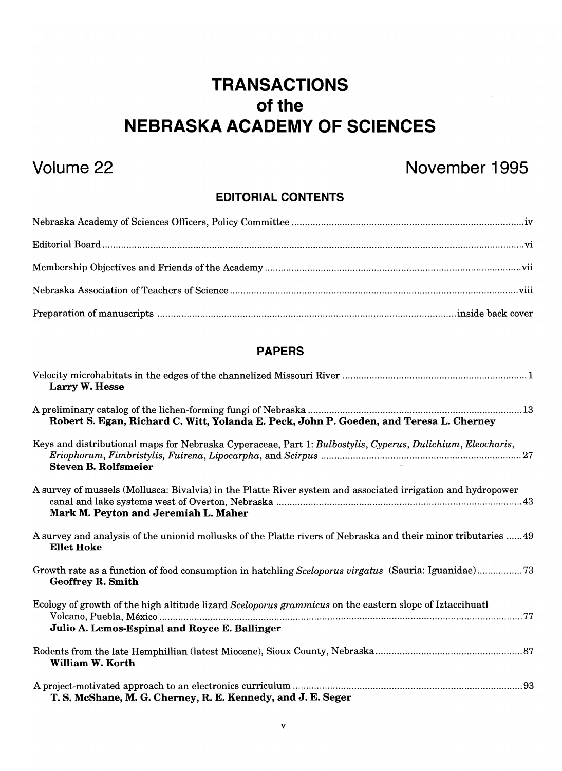### **TRANSACTIONS**  of the **NEBRASKA ACADEMY OF SCIENCES**

### Volume 22 November 1995

#### **EDITORIAL CONTENTS**

#### **PAPERS**

| Larry W. Hesse                                                                                                                                           |
|----------------------------------------------------------------------------------------------------------------------------------------------------------|
| Robert S. Egan, Richard C. Witt, Yolanda E. Peck, John P. Goeden, and Teresa L. Cherney                                                                  |
| Keys and distributional maps for Nebraska Cyperaceae, Part 1: Bulbostylis, Cyperus, Dulichium, Eleocharis,<br><b>Steven B. Rolfsmeier</b>                |
| A survey of mussels (Mollusca: Bivalvia) in the Platte River system and associated irrigation and hydropower<br>Mark M. Peyton and Jeremiah L. Maher     |
| A survey and analysis of the unionid mollusks of the Platte rivers of Nebraska and their minor tributaries  49<br><b>Ellet Hoke</b>                      |
| Growth rate as a function of food consumption in hatchling Sceloporus virgatus (Sauria: Iguanidae)73<br><b>Geoffrey R. Smith</b>                         |
| Ecology of growth of the high altitude lizard Sceloporus grammicus on the eastern slope of Iztaccihuatl<br>Julio A. Lemos-Espinal and Royce E. Ballinger |
| William W. Korth                                                                                                                                         |
| T. S. McShane, M. G. Cherney, R. E. Kennedy, and J. E. Seger                                                                                             |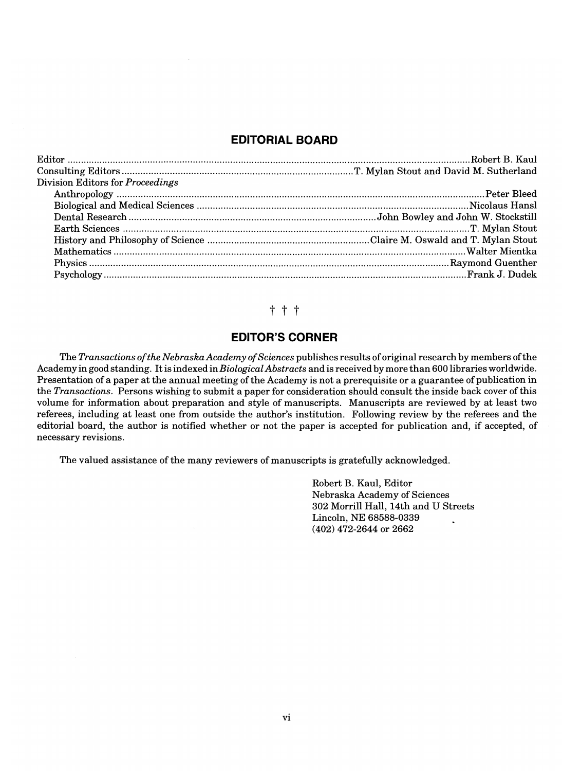#### **EDITORIAL BOARD**

| Division Editors for Proceedings |  |
|----------------------------------|--|
|                                  |  |
|                                  |  |
|                                  |  |
|                                  |  |
|                                  |  |
|                                  |  |
|                                  |  |
|                                  |  |

#### t t t

#### **EDITOR'S CORNER**

The *Transactions of the Nebraska Academy of Sciences* publishes results of original research by members ofthe Academy in good standing. It is indexed in *Biological Abstracts* and is received by more than 600 libraries worldwide. Presentation of a paper at the annual meeting of the Academy is not a prerequisite or a guarantee of publication in the *Transactions.* Persons wishing to submit a paper for consideration should consult the inside back cover ofthis volume for information about preparation and style of manuscripts. Manuscripts are reviewed by at least two referees, including at least one from outside the author's institution. Following review by the referees and the editorial board, the author is notified whether or not the paper is accepted for publication and, if accepted, of necessary revisions.

The valued assistance of the many reviewers of manuscripts is gratefully acknowledged.

Robert B. Kaul, Editor Nebraska Academy of Sciences 302 Morrill Hall, 14th and V Streets Lincoln, NE 68588-0339 (402) 472-2644 or 2662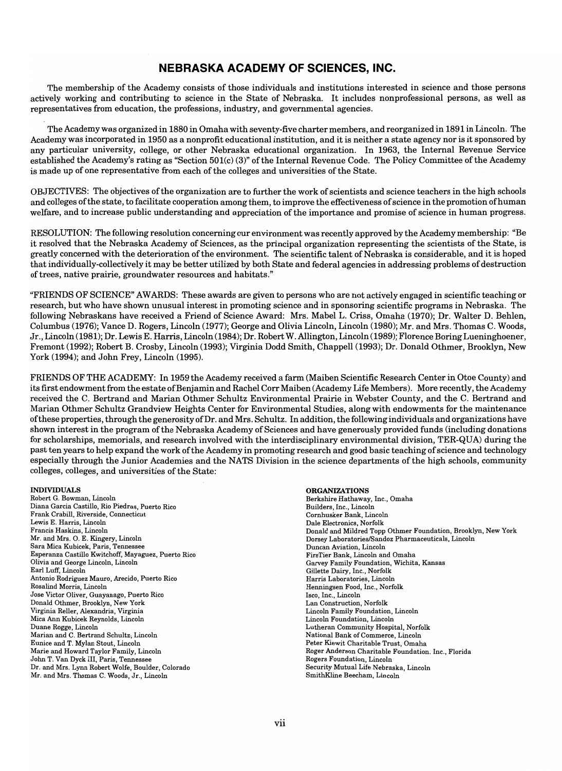#### **NEBRASKA ACADEMY OF SCIENCES, INC.**

The membership of the Academy consists of those individuals and institutions interested in science and those persons actively working and contributing to science in the State of Nebraska. It includes nonprofessional persons, as well as representatives from education, the professions, industry, and governmental agencies.

The Academy was organized in 1880 in Omaha with seventy-five charter members, and reorganized in 1891 in Lincoln. The Academy was incorporated in 1950 as a nonprofit educational institution, and it is neither a state agency nor is it sponsored by any particular university, college, or other Nebraska educational organization. In 1963, the Internal Revenue Service established the Academy's rating as "Section 501(c) (3)" of the Internal Revenue Code. The Policy Committee of the Academy is made up of one representative from each of the colleges and universities of the State.

OBJECTIVES: The objectives of the organization are to further the work of scientists and science teachers in the high schools and colleges of the state, to facilitate cooperation among them, to improve the effectiveness of science in the promotion of human welfare, and to increase public understanding and appreciation of the importance and promise of science in human progress.

RESOLUTION: The following resolution concerning our environment was recently approved by the Academy membership: "Be it resolved that the Nebraska Academy of Sciences, as the principal organization representing the scientists of the State, is greatly concerned with the deterioration of the environment. The scientific talent of Nebraska is considerable, and it is hoped that individually-collectively it may be better utilized by both State and federal agencies in addressing problems of destruction of trees, native prairie, groundwater resources and habitats."

"FRIENDS OF SCIENCE" AWARDS: These awards are given to persons who are not actively engaged in scientific teaching or research, but who have shown unusual interest in promoting science and in sponsoring scientific programs in Nebraska. The following Nebraskans have received a Friend of Science Award: Mrs. Mabel L. Criss, Omaha (1970); Dr. Walter D. Behlen, Columbus (1976); Vance D. Rogers, Lincoln (1977); George and Olivia Lincoln, Lincoln (1980); Mr. and Mrs. Thomas C. Woods, Jr., Lincoln (1981); Dr. Lewis E. Harris, Lincoln (1984); Dr. Robert W. Allington, Lincoln (1989); Florence Boring Lueninghoener, Fremont (1992); Robert B. Crosby, Lincoln (1993); Virginia Dodd Smith, Chappell (1993); Dr. Donald Othmer, Brooklyn, New York (1994); and John Frey, Lincoln (1995).

FRIENDS OF THE ACADEMY: In 1959 the Academy received a farm (Maiben Scientific Research Center in Otoe County) and its first endowment from the estate of Benjamin and Rachel Corr Maiben (Academy Life Members). More recently, the Academy received the C. Bertrand and Marian Othmer Schultz Environmental Prairie in Webster County, and the C. Bertrand and Marian Othmer Schultz Grandview Heights Center for Environmental Studies, along with endowments for the maintenance of these properties, through the generosity of Dr. and Mrs. Schultz. In addition, the following individuals and organizations have shown interest in the program of the Nebraska Academy of Sciences and have generously provided funds (including donations for scholarships, memorials, and research involved with the interdisciplinary environmental division, TER-QUA) during the past ten years to help expand the work of the Academy in promoting research and good basic teaching of science and technology especially through the Junior Academies and the NATS Division in the science departments of the high schools, community colleges, colleges, and universities of the State:

#### INDIVIDUALS

Robert G. Bowman, Lincoln Diana Garcia Castillo, Rio Piedras, Puerto Rico Frank Crabill, Riverside, Connecticut Lewis E. Harris, Lincoln Francis Haskins, Lincoln Mr. and Mrs. O. E. Kingery, Lincoln Sara Mica Kubicek, Paris, Tennessee Esperanza Castillo Kwitchoff, Mayaguez, Puerto Rico Olivia and George Lincoln, Lincoln Earl Luff, Lincoln Antonio Rodriguez Mauro, Arecido, Puerto Rico Rosalind Morris, Lincoln Jose Victor Oliver, Guayanago, Puerto Rico Donald Othmer, Brooklyn, New York Virginia Reller, Alexandria, Virginia Mica Ann Kubicek Reynolds, Lincoln Duane Rogge, Lincoln Marian and C. Bertrand Schultz, Lincoln Eunice and T. Mylan Stout, Lincoln Marie and Howard Taylor Family, Lincoln John T. Van Dyck III, Paris, Tennessee Dr. and Mrs. Lynn Robert Wolfe, Boulder, Colorado Mr. and Mrs. Thomas C. Woods, Jr., Lincoln

ORGANIZATIONS Berkshire Hathaway, Inc., Omaha Builders, Inc., Lincoln Cornhusker Bank, Lincoln Dale Electronics, Norfolk Donald and Mildred Topp Othmer Foundation, Brooklyn, New York Dorsey Laboratories/Sandoz Pharmaceuticals, Lincoln Duncan Aviation, Lincoln FirsTier Bank, Lincoln and Omaha Garvey Family Foundation, Wichita, Kansas Gillette Dairy, Inc., Norfolk Harris Laboratories, Lincoln Henningsen Food, Inc., Norfolk Isco, Inc., Lincoln Lan Construction, Norfolk Lincoln Family Foundation, Lincoln Lincoln Foundation, Lincoln Lutheran Community Hospital, Norfolk National Bank of Commerce, Lincoln Peter Kiewit Charitable Trust, Omaha Roger Anderson Charitable Foundation. Inc., Florida Rogers Foundation, Lincoln Security Mutual Life Nebraska, Lincoln SmithKline Beecham, Lincoln